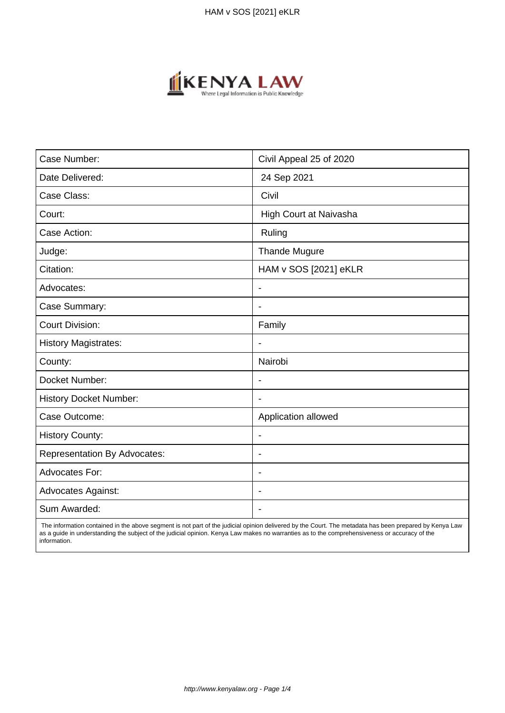

| Case Number:                        | Civil Appeal 25 of 2020  |
|-------------------------------------|--------------------------|
| Date Delivered:                     | 24 Sep 2021              |
| Case Class:                         | Civil                    |
| Court:                              | High Court at Naivasha   |
| Case Action:                        | Ruling                   |
| Judge:                              | <b>Thande Mugure</b>     |
| Citation:                           | HAM v SOS [2021] eKLR    |
| Advocates:                          | $\overline{\phantom{a}}$ |
| Case Summary:                       | $\overline{\phantom{a}}$ |
| <b>Court Division:</b>              | Family                   |
| <b>History Magistrates:</b>         | $\overline{\phantom{a}}$ |
| County:                             | Nairobi                  |
| Docket Number:                      |                          |
| <b>History Docket Number:</b>       | $\overline{\phantom{0}}$ |
| Case Outcome:                       | Application allowed      |
| <b>History County:</b>              | $\overline{\phantom{a}}$ |
| <b>Representation By Advocates:</b> | $\blacksquare$           |
| <b>Advocates For:</b>               | $\overline{\phantom{a}}$ |
| <b>Advocates Against:</b>           | $\blacksquare$           |
| Sum Awarded:                        |                          |

 The information contained in the above segment is not part of the judicial opinion delivered by the Court. The metadata has been prepared by Kenya Law as a guide in understanding the subject of the judicial opinion. Kenya Law makes no warranties as to the comprehensiveness or accuracy of the information.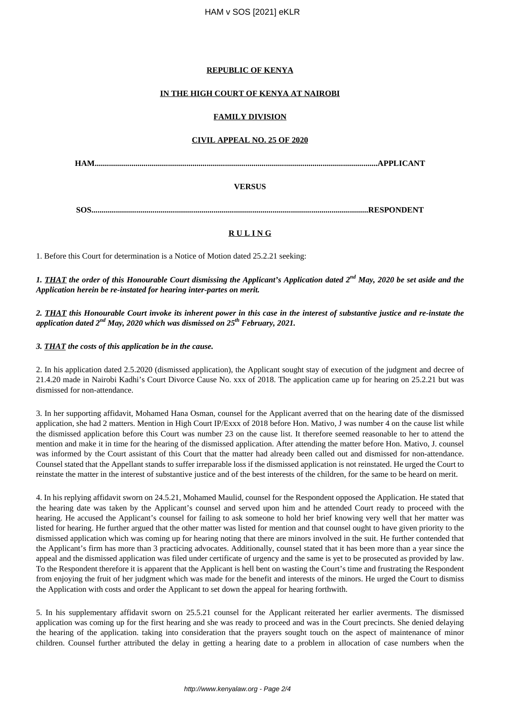# **REPUBLIC OF KENYA**

# **IN THE HIGH COURT OF KENYA AT NAIROBI**

#### **FAMILY DIVISION**

#### **CIVIL APPEAL NO. 25 OF 2020**

**HAM...........................................................................................................................................APPLICANT**

# **VERSUS**

**SOS........................................................................................................................................RESPONDENT**

# **R U L I N G**

1. Before this Court for determination is a Notice of Motion dated 25.2.21 seeking:

*1. THAT the order of this Honourable Court dismissing the Applicant's Application dated 2nd May, 2020 be set aside and the Application herein be re-instated for hearing inter-partes on merit.*

*2. THAT this Honourable Court invoke its inherent power in this case in the interest of substantive justice and re-instate the application dated 2nd May, 2020 which was dismissed on 25th February, 2021.*

#### *3. THAT the costs of this application be in the cause.*

2. In his application dated 2.5.2020 (dismissed application), the Applicant sought stay of execution of the judgment and decree of 21.4.20 made in Nairobi Kadhi's Court Divorce Cause No. xxx of 2018. The application came up for hearing on 25.2.21 but was dismissed for non-attendance.

3. In her supporting affidavit, Mohamed Hana Osman, counsel for the Applicant averred that on the hearing date of the dismissed application, she had 2 matters. Mention in High Court IP/Exxx of 2018 before Hon. Mativo, J was number 4 on the cause list while the dismissed application before this Court was number 23 on the cause list. It therefore seemed reasonable to her to attend the mention and make it in time for the hearing of the dismissed application. After attending the matter before Hon. Mativo, J. counsel was informed by the Court assistant of this Court that the matter had already been called out and dismissed for non-attendance. Counsel stated that the Appellant stands to suffer irreparable loss if the dismissed application is not reinstated. He urged the Court to reinstate the matter in the interest of substantive justice and of the best interests of the children, for the same to be heard on merit.

4. In his replying affidavit sworn on 24.5.21, Mohamed Maulid, counsel for the Respondent opposed the Application. He stated that the hearing date was taken by the Applicant's counsel and served upon him and he attended Court ready to proceed with the hearing. He accused the Applicant's counsel for failing to ask someone to hold her brief knowing very well that her matter was listed for hearing. He further argued that the other matter was listed for mention and that counsel ought to have given priority to the dismissed application which was coming up for hearing noting that there are minors involved in the suit. He further contended that the Applicant's firm has more than 3 practicing advocates. Additionally, counsel stated that it has been more than a year since the appeal and the dismissed application was filed under certificate of urgency and the same is yet to be prosecuted as provided by law. To the Respondent therefore it is apparent that the Applicant is hell bent on wasting the Court's time and frustrating the Respondent from enjoying the fruit of her judgment which was made for the benefit and interests of the minors. He urged the Court to dismiss the Application with costs and order the Applicant to set down the appeal for hearing forthwith.

5. In his supplementary affidavit sworn on 25.5.21 counsel for the Applicant reiterated her earlier averments. The dismissed application was coming up for the first hearing and she was ready to proceed and was in the Court precincts. She denied delaying the hearing of the application. taking into consideration that the prayers sought touch on the aspect of maintenance of minor children. Counsel further attributed the delay in getting a hearing date to a problem in allocation of case numbers when the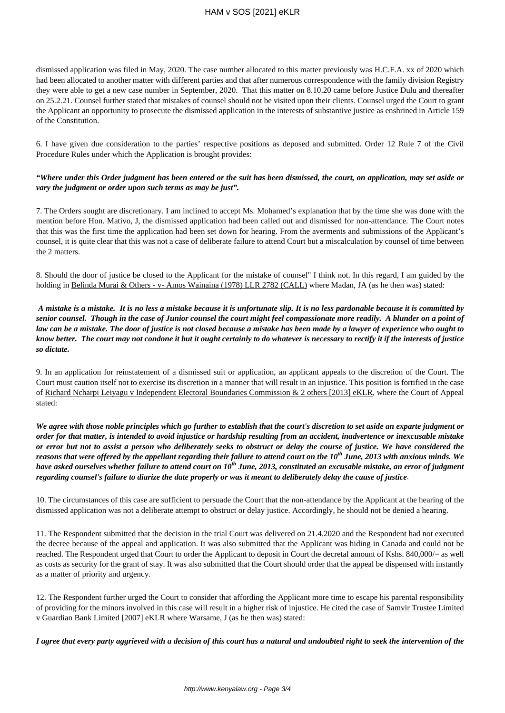# HAM v SOS [2021] eKLR

dismissed application was filed in May, 2020. The case number allocated to this matter previously was H.C.F.A. xx of 2020 which had been allocated to another matter with different parties and that after numerous correspondence with the family division Registry they were able to get a new case number in September, 2020. That this matter on 8.10.20 came before Justice Dulu and thereafter on 25.2.21. Counsel further stated that mistakes of counsel should not be visited upon their clients. Counsel urged the Court to grant the Applicant an opportunity to prosecute the dismissed application in the interests of substantive justice as enshrined in Article 159 of the Constitution.

6. I have given due consideration to the parties' respective positions as deposed and submitted. Order 12 Rule 7 of the Civil Procedure Rules under which the Application is brought provides:

#### *"Where under this Order judgment has been entered or the suit has been dismissed, the court, on application, may set aside or vary the judgment or order upon such terms as may be just".*

7. The Orders sought are discretionary. I am inclined to accept Ms. Mohamed's explanation that by the time she was done with the mention before Hon. Mativo, J, the dismissed application had been called out and dismissed for non-attendance. The Court notes that this was the first time the application had been set down for hearing. From the averments and submissions of the Applicant's counsel, it is quite clear that this was not a case of deliberate failure to attend Court but a miscalculation by counsel of time between the 2 matters.

8. Should the door of justice be closed to the Applicant for the mistake of counsel" I think not. In this regard, I am guided by the holding in Belinda Murai & Others - v- Amos Wainaina (1978) LLR 2782 (CALL) where Madan, JA (as he then was) stated:

*A mistake is a mistake. It is no less a mistake because it is unfortunate slip. It is no less pardonable because it is committed by senior counsel. Though in the case of Junior counsel the court might feel compassionate more readily. A blunder on a point of law can be a mistake. The door of justice is not closed because a mistake has been made by a lawyer of experience who ought to know better. The court may not condone it but it ought certainly to do whatever is necessary to rectify it if the interests of justice so dictate.*

9. In an application for reinstatement of a dismissed suit or application, an applicant appeals to the discretion of the Court. The Court must caution itself not to exercise its discretion in a manner that will result in an injustice. This position is fortified in the case of Richard Ncharpi Leiyagu v Independent Electoral Boundaries Commission & 2 others [2013] eKLR, where the Court of Appeal stated:

*We agree with those noble principles which go further to establish that the court's discretion to set aside an exparte judgment or order for that matter, is intended to avoid injustice or hardship resulting from an accident, inadvertence or inexcusable mistake or error but not to assist a person who deliberately seeks to obstruct or delay the course of justice. We have considered the reasons that were offered by the appellant regarding their failure to attend court on the 10th June, 2013 with anxious minds. We have asked ourselves whether failure to attend court on 10th June, 2013, constituted an excusable mistake, an error of judgment regarding counsel's failure to diarize the date properly or was it meant to deliberately delay the cause of justice*.

10. The circumstances of this case are sufficient to persuade the Court that the non-attendance by the Applicant at the hearing of the dismissed application was not a deliberate attempt to obstruct or delay justice. Accordingly, he should not be denied a hearing.

11. The Respondent submitted that the decision in the trial Court was delivered on 21.4.2020 and the Respondent had not executed the decree because of the appeal and application. It was also submitted that the Applicant was hiding in Canada and could not be reached. The Respondent urged that Court to order the Applicant to deposit in Court the decretal amount of Kshs. 840,000/= as well as costs as security for the grant of stay. It was also submitted that the Court should order that the appeal be dispensed with instantly as a matter of priority and urgency.

12. The Respondent further urged the Court to consider that affording the Applicant more time to escape his parental responsibility of providing for the minors involved in this case will result in a higher risk of injustice. He cited the case of Samvir Trustee Limited v Guardian Bank Limited [2007] eKLR where Warsame, J (as he then was) stated:

*I agree that every party aggrieved with a decision of this court has a natural and undoubted right to seek the intervention of the*